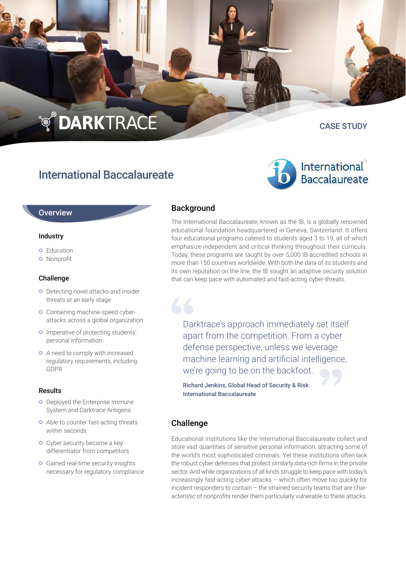# **TO DARKTRACE**

International Baccalaureate

CASE STUDY

## International **Baccalaureate**

#### **Overview**

#### Industry

- **o** Education
- **o** Nonprofit

#### Challenge

- o Detecting novel attacks and insider threats at an early stage
- **o** Containing machine-speed cyberattacks across a global organization
- **o** Imperative of protecting students' personal information
- **o** A need to comply with increased regulatory requirements, including GDPR

#### Results

- **O** Deployed the Enterprise Immune System and Darktrace Antigena
- **o** Able to counter fast-acting threats within seconds
- **o** Cyber security became a key differentiator from competitors
- **o** Gained real-time security insights necessary for regulatory compliance

### **Background**

The International Baccalaureate, known as the IB, is a globally renowned educational foundation headquartered in Geneva, Switzerland. It offers four educational programs catered to students aged 3 to 19, all of which emphasize independent and critical thinking throughout their curricula. Today, these programs are taught by over 5,000 IB-accredited schools in more than 150 countries worldwide. With both the data of its students and its own reputation on the line, the IB sought an adaptive security solution that can keep pace with automated and fast-acting cyber-threats.

Darktrace's approach immediately set itself apart from the competition. From a cyber defense perspective, unless we leverage machine learning and artificial intelligence, we're going to be on the backfoot.

Richard Jenkins, Global Head of Security & Risk International Baccalaureate

#### Challenge

Educational institutions like the International Baccalaureate collect and store vast quantities of sensitive personal information, attracting some of the world's most sophisticated criminals. Yet these institutions often lack the robust cyber defenses that protect similarly data-rich firms in the private sector. And while organizations of all kinds struggle to keep pace with today's increasingly fast-acting cyber-attacks – which often move too quickly for incident responders to contain – the strained security teams that are characteristic of nonprofits render them particularly vulnerable to these attacks.